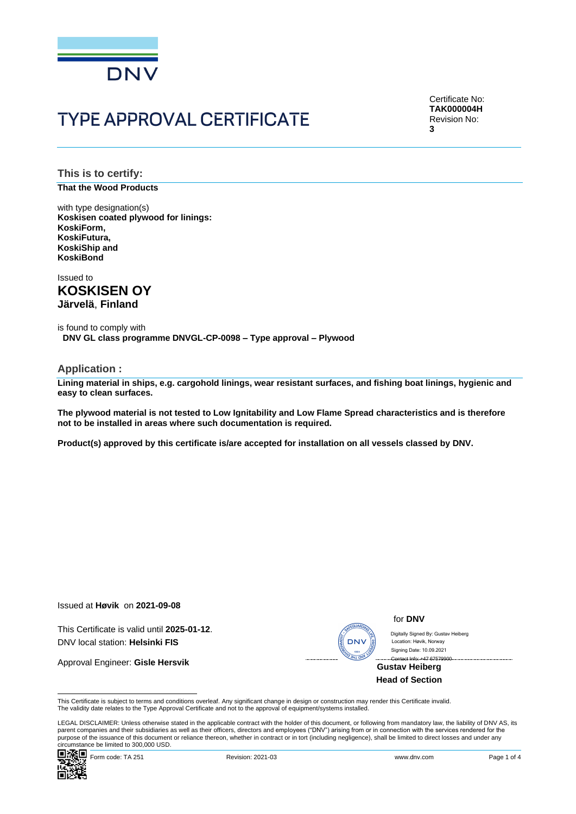

# **TYPE APPROVAL CERTIFICATE**

Certificate No: **TAK000004H** Revision No: **3**

**This is to certify:**

**That the Wood Products**

with type designation(s) **Koskisen coated plywood for linings: KoskiForm, KoskiFutura, KoskiShip and KoskiBond**

Issued to **KOSKISEN OY Järvelä**, **Finland**

is found to comply with **DNV GL class programme DNVGL-CP-0098 – Type approval – Plywood**

# **Application :**

**Lining material in ships, e.g. cargohold linings, wear resistant surfaces, and fishing boat linings, hygienic and easy to clean surfaces.**

**The plywood material is not tested to Low Ignitability and Low Flame Spread characteristics and is therefore not to be installed in areas where such documentation is required.**

**Product(s) approved by this certificate is/are accepted for installation on all vessels classed by DNV.**



This Certificate is subject to terms and conditions overleaf. Any significant change in design or construction may render this Certificate invalid.<br>The validity date relates to the Type Approval Certificate and not to the

LEGAL DISCLAIMER: Unless otherwise stated in the applicable contract with the holder of this document, or following from mandatory law, the liability of DNV AS, its<br>parent companies and their subsidiaries as well as their purpose of the issuance of this document or reliance thereon, whether in contract or in tort (including negligence), shall be limited to direct losses and under any circumstance be limited to 300,000 USD.

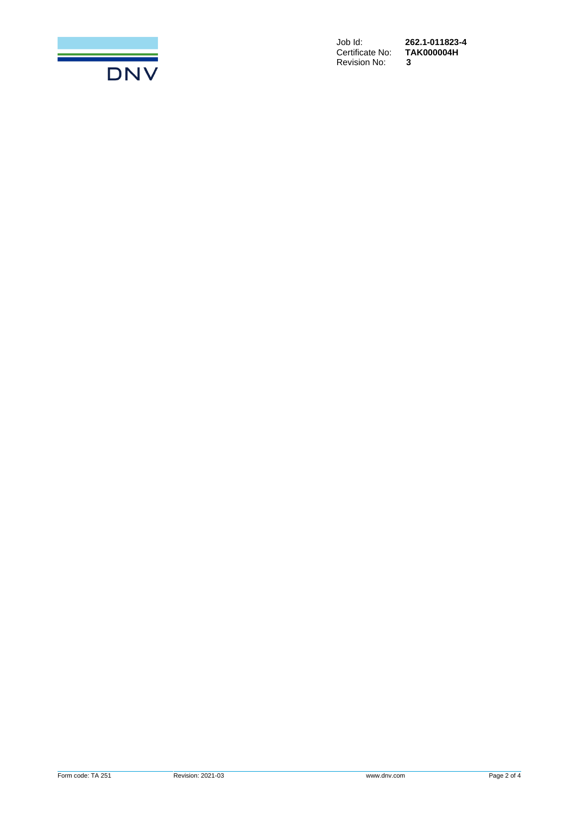

Certificate No: **TAK000004H** Revision No: **3**

Job Id: **262.1-011823-4**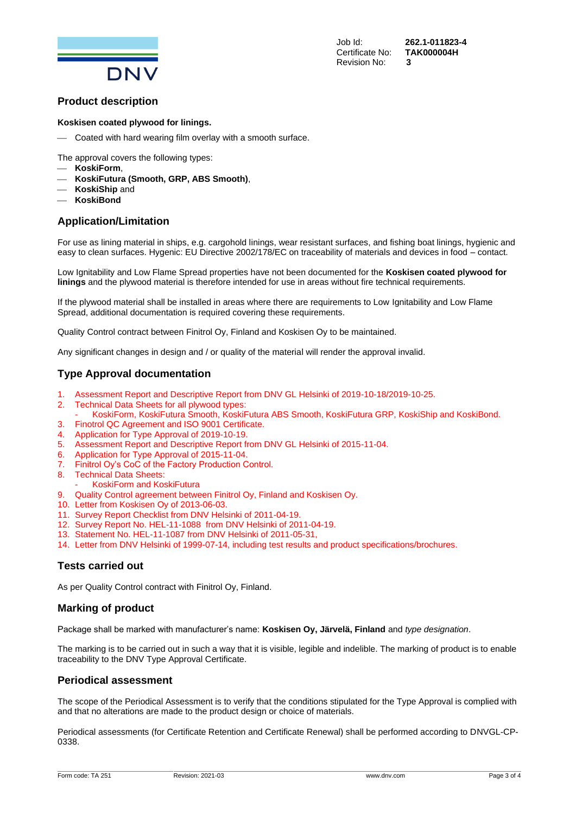

Certificate No: Revision No: **3**

Job Id: **262.1-011823-4**

# **Product description**

#### **Koskisen coated plywood for linings.**

- Coated with hard wearing film overlay with a smooth surface.

The approval covers the following types:

- ⎯ **KoskiForm**,
- ⎯ **KoskiFutura (Smooth, GRP, ABS Smooth)**,
- ⎯ **KoskiShip** and
- ⎯ **KoskiBond**

# **Application/Limitation**

For use as lining material in ships, e.g. cargohold linings, wear resistant surfaces, and fishing boat linings, hygienic and easy to clean surfaces. Hygenic: EU Directive 2002/178/EC on traceability of materials and devices in food – contact.

Low Ignitability and Low Flame Spread properties have not been documented for the **Koskisen coated plywood for linings** and the plywood material is therefore intended for use in areas without fire technical requirements.

If the plywood material shall be installed in areas where there are requirements to Low Ignitability and Low Flame Spread, additional documentation is required covering these requirements.

Quality Control contract between Finitrol Oy, Finland and Koskisen Oy to be maintained.

Any significant changes in design and / or quality of the material will render the approval invalid.

# **Type Approval documentation**

- 1. Assessment Report and Descriptive Report from DNV GL Helsinki of 2019-10-18/2019-10-25.
- 2. Technical Data Sheets for all plywood types:
	- KoskiForm, KoskiFutura Smooth, KoskiFutura ABS Smooth, KoskiFutura GRP, KoskiShip and KoskiBond.
- 3. Finotrol QC Agreement and ISO 9001 Certificate.
- 4. Application for Type Approval of 2019-10-19.
- 5. Assessment Report and Descriptive Report from DNV GL Helsinki of 2015-11-04. 5. Assessment Report and Descriptive Report fi<br>6. Application for Type Approval of 2015-11-04.
- 
- 7. Finitrol Oy's CoC of the Factory Production Control.
- 8. Technical Data Sheets:
- KoskiForm and KoskiFutura
- 9. Quality Control agreement between Finitrol Oy, Finland and Koskisen Oy.
- 10. Letter from Koskisen Oy of 2013-06-03.
- 11. Survey Report Checklist from DNV Helsinki of 2011-04-19.
- 12. Survey Report No. HEL-11-1088 from DNV Helsinki of 2011-04-19.
- 13. Statement No. HEL-11-1087 from DNV Helsinki of 2011-05-31,
- 14. Letter from DNV Helsinki of 1999-07-14, including test results and product specifications/brochures.

# **Tests carried out**

As per Quality Control contract with Finitrol Oy, Finland.

### **Marking of product**

Package shall be marked with manufacturer's name: **Koskisen Oy, Järvelä, Finland** and *type designation*.

The marking is to be carried out in such a way that it is visible, legible and indelible. The marking of product is to enable traceability to the DNV Type Approval Certificate.

# **Periodical assessment**

The scope of the Periodical Assessment is to verify that the conditions stipulated for the Type Approval is complied with and that no alterations are made to the product design or choice of materials.

Periodical assessments (for Certificate Retention and Certificate Renewal) shall be performed according to DNVGL-CP-0338.